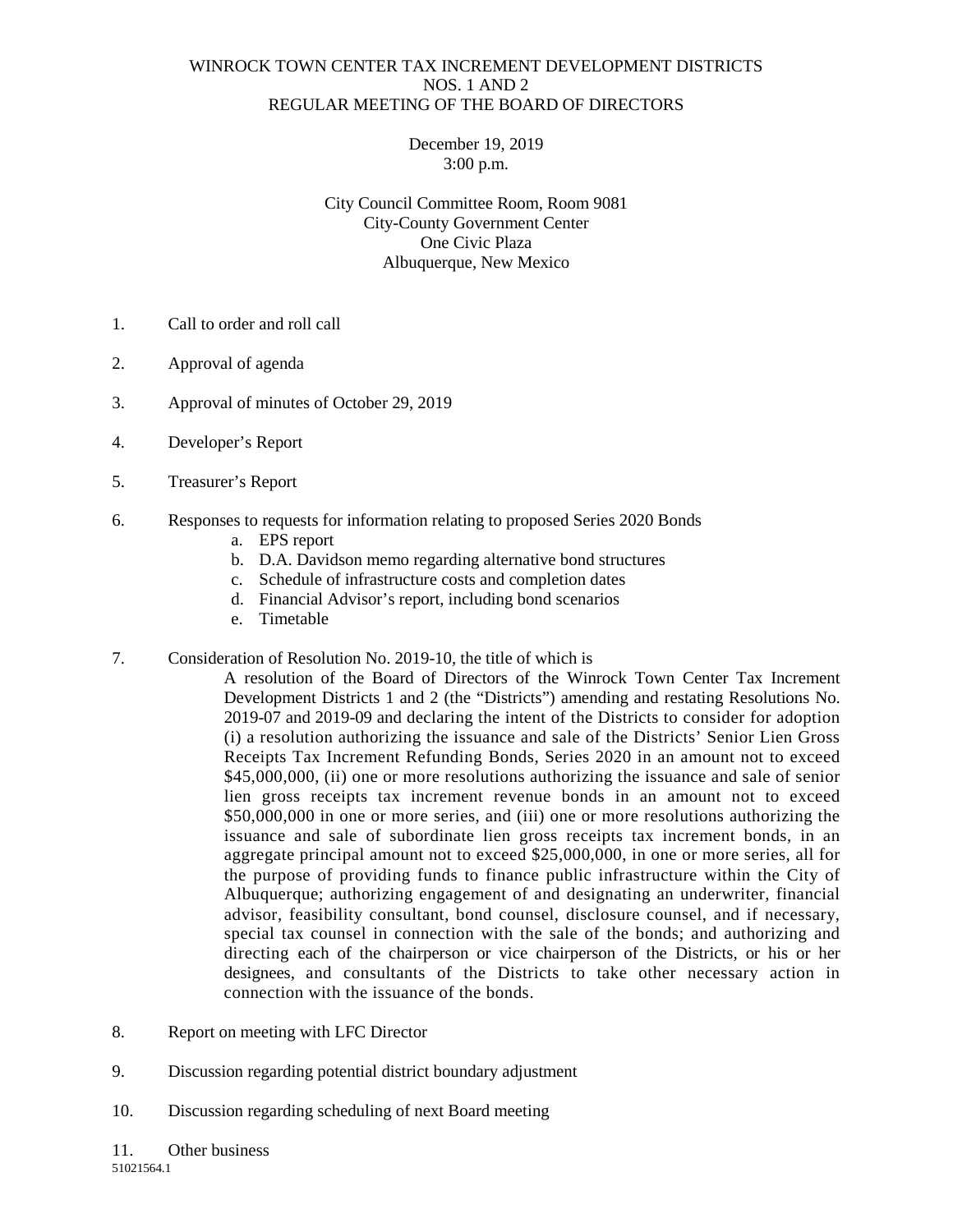## WINROCK TOWN CENTER TAX INCREMENT DEVELOPMENT DISTRICTS NOS. 1 AND 2 REGULAR MEETING OF THE BOARD OF DIRECTORS

December 19, 2019 3:00 p.m.

City Council Committee Room, Room 9081 City-County Government Center One Civic Plaza Albuquerque, New Mexico

- 1. Call to order and roll call
- 2. Approval of agenda
- 3. Approval of minutes of October 29, 2019
- 4. Developer's Report
- 5. Treasurer's Report
- 6. Responses to requests for information relating to proposed Series 2020 Bonds
	- a. EPS report
	- b. D.A. Davidson memo regarding alternative bond structures
	- c. Schedule of infrastructure costs and completion dates
	- d. Financial Advisor's report, including bond scenarios
	- e. Timetable
- 7. Consideration of Resolution No. 2019-10, the title of which is
	- A resolution of the Board of Directors of the Winrock Town Center Tax Increment Development Districts 1 and 2 (the "Districts") amending and restating Resolutions No. 2019-07 and 2019-09 and declaring the intent of the Districts to consider for adoption (i) a resolution authorizing the issuance and sale of the Districts' Senior Lien Gross Receipts Tax Increment Refunding Bonds, Series 2020 in an amount not to exceed \$45,000,000, (ii) one or more resolutions authorizing the issuance and sale of senior lien gross receipts tax increment revenue bonds in an amount not to exceed \$50,000,000 in one or more series, and (iii) one or more resolutions authorizing the issuance and sale of subordinate lien gross receipts tax increment bonds, in an aggregate principal amount not to exceed \$25,000,000, in one or more series, all for the purpose of providing funds to finance public infrastructure within the City of Albuquerque; authorizing engagement of and designating an underwriter, financial advisor, feasibility consultant, bond counsel, disclosure counsel, and if necessary, special tax counsel in connection with the sale of the bonds; and authorizing and directing each of the chairperson or vice chairperson of the Districts, or his or her designees, and consultants of the Districts to take other necessary action in connection with the issuance of the bonds.
- 8. Report on meeting with LFC Director
- 9. Discussion regarding potential district boundary adjustment
- 10. Discussion regarding scheduling of next Board meeting